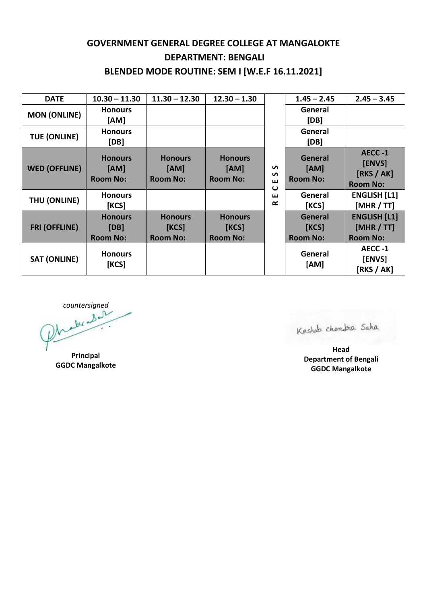## **GOVERNMENT GENERAL DEGREE COLLEGE AT MANGALOKTE DEPARTMENT: BENGALI BLENDED MODE ROUTINE: SEM I [W.E.F 16.11.2021]**

| <b>DATE</b>          | $10.30 - 11.30$                           | $11.30 - 12.30$                            | $12.30 - 1.30$                             | S<br>S<br>ш<br>$\mathbf \omega$<br>ш<br>≃ | $1.45 - 2.45$                              | $2.45 - 3.45$                                        |
|----------------------|-------------------------------------------|--------------------------------------------|--------------------------------------------|-------------------------------------------|--------------------------------------------|------------------------------------------------------|
| <b>MON (ONLINE)</b>  | <b>Honours</b><br>[AM]                    |                                            |                                            |                                           | General<br>[DB]                            |                                                      |
| <b>TUE (ONLINE)</b>  | <b>Honours</b><br>[DB]                    |                                            |                                            |                                           | General<br>[DB]                            |                                                      |
| <b>WED (OFFLINE)</b> | <b>Honours</b><br>[AM]<br><b>Room No:</b> | <b>Honours</b><br>[AM]<br><b>Room No:</b>  | <b>Honours</b><br>[AM]<br><b>Room No:</b>  |                                           | General<br>[AM]<br><b>Room No:</b>         | AECC-1<br>[ENVS]<br>[RKS / AK]<br><b>Room No:</b>    |
| THU (ONLINE)         | <b>Honours</b><br>[KCS]                   |                                            |                                            |                                           | General<br>[KCS]                           | <b>ENGLISH [L1]</b><br>[MHR / TT]                    |
| <b>FRI (OFFLINE)</b> | <b>Honours</b><br>[DB]<br><b>Room No:</b> | <b>Honours</b><br>[KCS]<br><b>Room No:</b> | <b>Honours</b><br>[KCS]<br><b>Room No:</b> |                                           | <b>General</b><br>[KCS]<br><b>Room No:</b> | <b>ENGLISH [L1]</b><br>[MHR / TT]<br><b>Room No:</b> |
| <b>SAT (ONLINE)</b>  | <b>Honours</b><br>[KCS]                   |                                            |                                            |                                           | General<br>[AM]                            | AECC-1<br>[ENVS]<br>[RKS / AK]                       |

countersigned

**Principal GGDC Mangalkote**

Keshab chandra Saha

**Head Department of Bengali GGDC Mangalkote**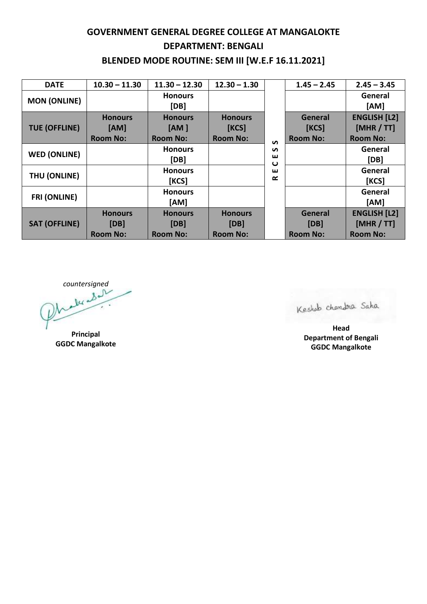## **GOVERNMENT GENERAL DEGREE COLLEGE AT MANGALOKTE DEPARTMENT: BENGALI BLENDED MODE ROUTINE: SEM III [W.E.F 16.11.2021]**

| <b>DATE</b>          | $10.30 - 11.30$ | $11.30 - 12.30$        | $12.30 - 1.30$  |                                 | $1.45 - 2.45$   | $2.45 - 3.45$       |
|----------------------|-----------------|------------------------|-----------------|---------------------------------|-----------------|---------------------|
| <b>MON (ONLINE)</b>  |                 | <b>Honours</b><br>[DB] |                 |                                 |                 | General<br>[AM]     |
| <b>TUE (OFFLINE)</b> | <b>Honours</b>  | <b>Honours</b>         | <b>Honours</b>  | $\mathbf{v}$                    | <b>General</b>  | <b>ENGLISH [L2]</b> |
|                      | [AM]            | [AM ]                  | [KCS]           |                                 | [KCS]           | [MHR / TT]          |
|                      | <b>Room No:</b> | <b>Room No:</b>        | <b>Room No:</b> |                                 | <b>Room No:</b> | <b>Room No:</b>     |
| <b>WED (ONLINE)</b>  |                 | <b>Honours</b>         |                 | S                               |                 | General             |
|                      |                 | [DB]                   |                 | ш<br>$\mathbf \omega$<br>ш<br>≃ |                 | [DB]                |
| THU (ONLINE)         |                 | <b>Honours</b>         |                 |                                 |                 | General             |
|                      |                 | [KCS]                  |                 |                                 |                 | [KCS]               |
| <b>FRI (ONLINE)</b>  |                 | <b>Honours</b>         |                 |                                 |                 | General             |
|                      |                 | [AM]                   |                 |                                 |                 | [AM]                |
| <b>SAT (OFFLINE)</b> | <b>Honours</b>  | <b>Honours</b>         | <b>Honours</b>  |                                 | General         | <b>ENGLISH [L2]</b> |
|                      | [DB]            | [DB]                   | [DB]            |                                 | [DB]            | [MHR / TT]          |
|                      | <b>Room No:</b> | <b>Room No:</b>        | <b>Room No:</b> |                                 | <b>Room No:</b> | <b>Room No:</b>     |

countersigned

**Principal GGDC Mangalkote**

Keshab chandra Saha

**Head Department of Bengali GGDC Mangalkote**